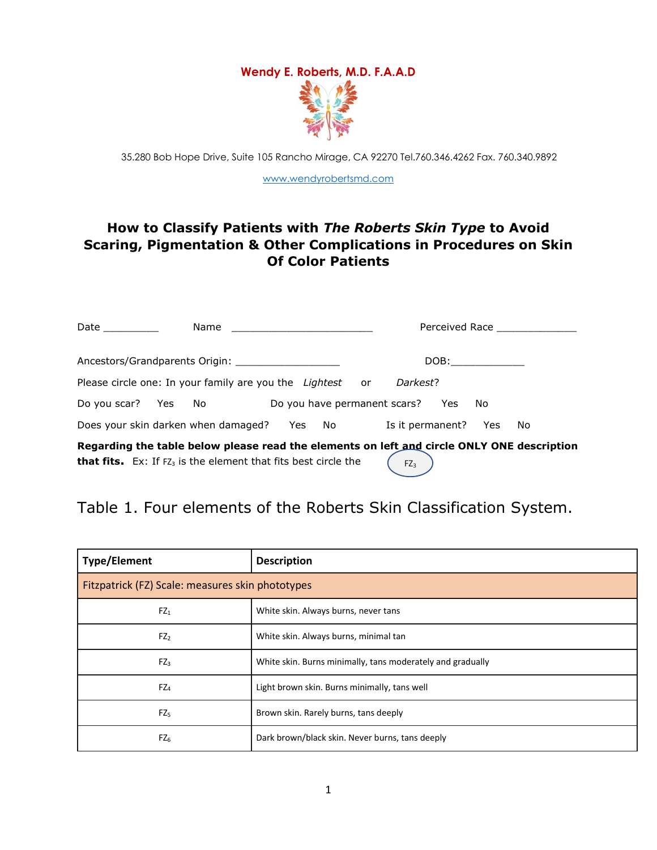## **Wendy E. Roberts, M.D. F.A.A.D**

35.280 Bob Hope Drive, Suite 105 Rancho Mirage, CA 92270 Tel.760.346.4262 Fax. 760.340.9892

[www.wendyrobertsmd.com](http://www.wendyrobertsmd.com/)

#### **How to Classify Patients with** *The Roberts Skin Type* **to Avoid Scaring, Pigmentation & Other Complications in Procedures on Skin Of Color Patients**

| Date $\_\_$                                                                                                                                                                        |  | Name                                |  |        |  | Perceived Race                      |      |     |
|------------------------------------------------------------------------------------------------------------------------------------------------------------------------------------|--|-------------------------------------|--|--------|--|-------------------------------------|------|-----|
|                                                                                                                                                                                    |  | Ancestors/Grandparents Origin:      |  |        |  | DOB:                                |      |     |
| Please circle one: In your family are you the Lightest or<br>Darkest?                                                                                                              |  |                                     |  |        |  |                                     |      |     |
| Do you scar? Yes No                                                                                                                                                                |  |                                     |  |        |  | Do you have permanent scars?<br>Yes | - No |     |
|                                                                                                                                                                                    |  | Does your skin darken when damaged? |  | Yes No |  | Is it permanent?                    | Yes  | No. |
| Regarding the table below please read the elements on left and circle ONLY ONE description<br>that fits. Ex: If FZ <sub>3</sub> is the element that fits best circle the<br>$FZ_3$ |  |                                     |  |        |  |                                     |      |     |

#### Table 1. Four elements of the Roberts Skin Classification System.

| <b>Type/Element</b>                              | <b>Description</b>                                         |  |  |  |  |
|--------------------------------------------------|------------------------------------------------------------|--|--|--|--|
| Fitzpatrick (FZ) Scale: measures skin phototypes |                                                            |  |  |  |  |
| $FZ_1$                                           | White skin. Always burns, never tans                       |  |  |  |  |
| $FZ_2$                                           | White skin. Always burns, minimal tan                      |  |  |  |  |
| $FZ_3$                                           | White skin. Burns minimally, tans moderately and gradually |  |  |  |  |
| $FZ_4$                                           | Light brown skin. Burns minimally, tans well               |  |  |  |  |
| $FZ_5$                                           | Brown skin. Rarely burns, tans deeply                      |  |  |  |  |
| $FZ_6$                                           | Dark brown/black skin. Never burns, tans deeply            |  |  |  |  |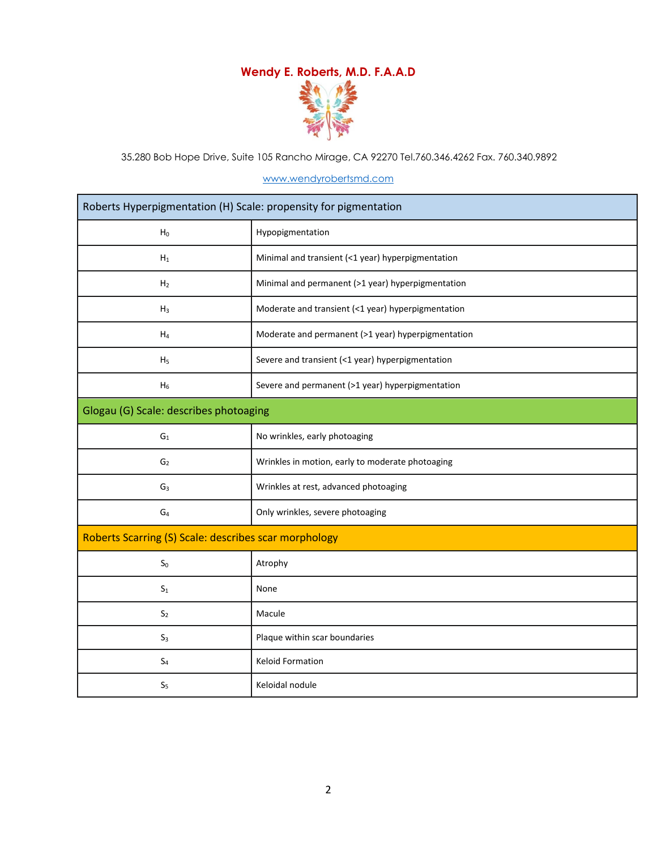### **Wendy E. Roberts, M.D. F.A.A.D**



35.280 Bob Hope Drive, Suite 105 Rancho Mirage, CA 92270 Tel.760.346.4262 Fax. 760.340.9892

#### [www.wendyrobertsmd.com](http://www.wendyrobertsmd.com/)

| Roberts Hyperpigmentation (H) Scale: propensity for pigmentation |                                                    |  |  |  |
|------------------------------------------------------------------|----------------------------------------------------|--|--|--|
| $H_0$                                                            | Hypopigmentation                                   |  |  |  |
| $H_1$                                                            | Minimal and transient (<1 year) hyperpigmentation  |  |  |  |
| H <sub>2</sub>                                                   | Minimal and permanent (>1 year) hyperpigmentation  |  |  |  |
| $H_3$                                                            | Moderate and transient (<1 year) hyperpigmentation |  |  |  |
| $H_4$                                                            | Moderate and permanent (>1 year) hyperpigmentation |  |  |  |
| H <sub>5</sub>                                                   | Severe and transient (<1 year) hyperpigmentation   |  |  |  |
| $H_6$                                                            | Severe and permanent (>1 year) hyperpigmentation   |  |  |  |
| Glogau (G) Scale: describes photoaging                           |                                                    |  |  |  |
| ${\sf G}_1$                                                      | No wrinkles, early photoaging                      |  |  |  |
| G <sub>2</sub>                                                   | Wrinkles in motion, early to moderate photoaging   |  |  |  |
| G <sub>3</sub>                                                   | Wrinkles at rest, advanced photoaging              |  |  |  |
| $G_4$                                                            | Only wrinkles, severe photoaging                   |  |  |  |
| Roberts Scarring (S) Scale: describes scar morphology            |                                                    |  |  |  |
| $S_0$                                                            | Atrophy                                            |  |  |  |
| $\mathsf{S}_1$                                                   | None                                               |  |  |  |
| S <sub>2</sub>                                                   | Macule                                             |  |  |  |
| S <sub>3</sub>                                                   | Plaque within scar boundaries                      |  |  |  |
| $S_4$                                                            | <b>Keloid Formation</b>                            |  |  |  |
| S <sub>5</sub>                                                   | Keloidal nodule                                    |  |  |  |